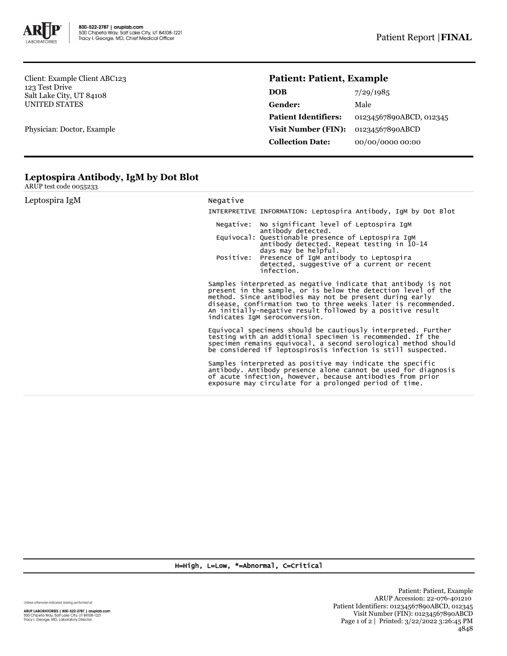

Client: Example Client ABC123 123 Test Drive Salt Lake City, UT 84108 UNITED STATES

Physician: Doctor, Example

## **Patient: Patient, Example**

| <b>DOB</b>                  | 7/29/1985               |
|-----------------------------|-------------------------|
| Gender:                     | Male                    |
| <b>Patient Identifiers:</b> | 01234567890ABCD, 012345 |
| Visit Number (FIN):         | 01234567890ABCD         |
| <b>Collection Date:</b>     | 00/00/0000 00:00        |

## **Leptospira Antibody, IgM by Dot Blot**

ARUP test code 0055233

| Leptospira IgM | Negative                                                                                                                                                                                                                                                                                                                                                    |  |  |  |
|----------------|-------------------------------------------------------------------------------------------------------------------------------------------------------------------------------------------------------------------------------------------------------------------------------------------------------------------------------------------------------------|--|--|--|
|                | INTERPRETIVE INFORMATION: Leptospira Antibody, IgM by Dot Blot                                                                                                                                                                                                                                                                                              |  |  |  |
|                | No significant level of Leptospira IgM<br>Negative:<br>antibody detected.                                                                                                                                                                                                                                                                                   |  |  |  |
|                | Equivocal: Questionable presence of Leptospira IqM<br>antibody detected. Repeat testing in 10-14<br>days may be helpful.                                                                                                                                                                                                                                    |  |  |  |
|                | Positive:<br>Presence of IgM antibody to Leptospira<br>detected, suggestive of a current or recent<br>infection.                                                                                                                                                                                                                                            |  |  |  |
|                | Samples interpreted as negative indicate that antibody is not<br>present in the sample, or is below the detection level of the<br>method. Since antibodies may not be present during early<br>disease, confirmation two to three weeks later is recommended.<br>An initially-negative result followed by a positive result<br>indicates IqM seroconversion. |  |  |  |
|                | Equivocal specimens should be cautiously interpreted. Further<br>testing with an additional specimen is recommended. If the<br>specimen remains equivocal, a second serological method should<br>be considered if leptospirosis infection is still suspected.                                                                                               |  |  |  |
|                | Samples interpreted as positive may indicate the specific<br>antibody. Antibody presence alone cannot be used for diagnosis<br>of acute infection, however, because antibodies from prior<br>exposure may circulate for a prolonged period of time.                                                                                                         |  |  |  |

H=High, L=Low, \*=Abnormal, C=Critical

Unless otherwise indicated, testing performed at: